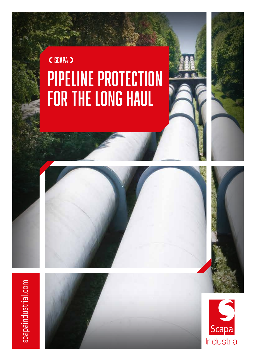## Pipeline Protection for the Long Haul <SCAPA >



# scapaindustrial.com scapaindustrial.com

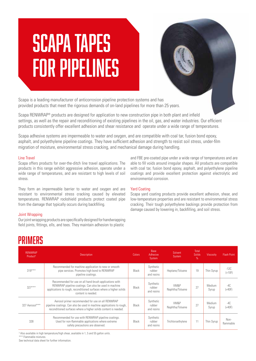## Scapa Tapes for Pipelines

Scapa is a leading manufacturer of anticorrosion pipeline protection systems and has provided products that meet the rigorous demands of on-land pipelines for more than 25 years.

Scapa RENWRAP® products are designed for application to new construction pipe in both plant and infield settings, as well as the repair and reconditioning of existing pipelines in the oil, gas, and water industries. Our efficient products consistently offer excellent adhesion and shear resistance and operate under a wide range of temperatures.

Scapa adhesive systems are impermeable to water and oxygen, and are compatible with coal tar, fusion bond epoxy, asphalt, and polyethylene pipeline coatings. They have sufficient adhesion and strength to resist soil stress, under-film migration of moisture, environmental stress cracking, and mechanical damage during handling.

#### Line Travel

Scapa offers products for over-the-ditch line travel applications. The products in this range exhibit aggressive adhesion, operate under a wide range of temperatures, and are resistant to high levels of soil stress.

They form an impermeable barrier to water and oxygen and are resistant to environmental stress cracking caused by elevated temperatures. RENWRAP rockshield products protect coated pipe from the damage that typically occurs during backfilling.

#### Joint Wrapping

Our joint wrapping products are specifically designed for handwrapping field joints, fittings, ells, and tees. They maintain adhesion to plastic

and FBE pre-coated pipe under a wide range of temperatures and are able to fill voids around irregular shapes. All products are compatible with coal tar, fusion bond epoxy, asphalt, and polyethylene pipeline coatings and provide excellent protection against electrolytic and environmental corrosion.

#### Yard Coating

Scapa yard coating products provide excellent adhesion, shear, and low-temperature properties and are resistant to environmental stress cracking. Their tough polyethylene backings provide protection from damage caused by lowering in, backfilling, and soil stress.

### **PRIMFRS**

| <b>RENWRAP</b><br>Product <sup>3</sup> | <b>Description</b>                                                                                                                                                                                             | <b>Colors</b> | Base<br>Solvent<br>Adhesive<br>System<br>System |                         | Total<br>Solids<br>$\%$ | <b>Viscosity</b> | <b>Flash Point</b> |
|----------------------------------------|----------------------------------------------------------------------------------------------------------------------------------------------------------------------------------------------------------------|---------------|-------------------------------------------------|-------------------------|-------------------------|------------------|--------------------|
| $319***$                               | Recommended for machine application to new or smooth<br>pipe services. Promotes high bond to RENWRAP<br>pipeline coatings.                                                                                     | Black         | Synthetic<br>rubber<br>and resins               | Heptane/Toluene         | 19                      | Thin Syrup       | $-12C$<br>$(+10F)$ |
| $327***$                               | Recommended for use on all hand-brush applications with<br>RENWRAP pipeline coatings. Can also be used in machine<br>applications to rough, reconditioned surfaces where a higher solids<br>content is needed. | Black         | Synthetic<br>rubber<br>and resins               | VM&P<br>Naphtha/Toluene | 27                      | Medium<br>Syrup  | $-4C$<br>$(+40F)$  |
| 327 Aerosol***                         | Aerosol primer recommended for use on all RENWRAP<br>pipeline coatings. Can also be used in machine applications to rough,<br>reconditioned surfaces where a higher solids content is needed.                  | Black         | Synthetic<br>rubber<br>and resins               | VM&P<br>Naphtha/Toluene | 27                      | Medium<br>Syrup  | $-4C$<br>$(+40F)$  |
| 328                                    | Recommended for use with RENWRAP pipeline coatings.<br>Used for non-flammable applications where extreme<br>safety precautions are observed.                                                                   | Black         | Synthetic<br>rubber<br>and resins               | Trichloroethylene       | 11                      | Thin Syrup       | Non-<br>flammable  |

<sup>3</sup> Also available in high temperature/high shear, available in 1, 5 and 55 gallon units.

\*\*\* Flammable mixtures.

See technical data sheet for further information.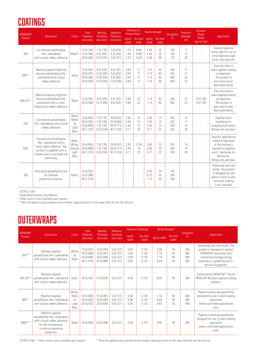## **COATINGS**

| <b>RENWRAP</b> | <b>Description</b>                                                                                                                                                | Colors                                      | Total<br><b>Thickness</b>                            | <b>Backing</b><br><b>Thickness</b>                 | Adhesive<br><b>Thickness</b>                         | Adhesion to<br><b>Primed Steel</b> |                                      | Tensile Strength             |                      | Elongation               | <b>Dielectric</b><br>Strength <sup>1</sup> | Dynamic<br>Shear <sup>2</sup>            | Application                                                                                                                                                 |
|----------------|-------------------------------------------------------------------------------------------------------------------------------------------------------------------|---------------------------------------------|------------------------------------------------------|----------------------------------------------------|------------------------------------------------------|------------------------------------|--------------------------------------|------------------------------|----------------------|--------------------------|--------------------------------------------|------------------------------------------|-------------------------------------------------------------------------------------------------------------------------------------------------------------|
| Product        |                                                                                                                                                                   |                                             | mils (mm)                                            | mils (mm)                                          | mils (mm)                                            | kg/cm<br>width                     | lbs./inch<br>kg/cm<br>width<br>width |                              | lbs./inch<br>width   | %                        | <b>KV</b>                                  | <b>Width</b><br>kg/cm <sup>2</sup> (psi) |                                                                                                                                                             |
| 300            | Low density polyethylene<br>film, calendered<br>with a butyl rubber adhesive.                                                                                     | Black*                                      | 10 (0.254)<br>12 (0.305)<br>20 (0.508)               | 7(0.178)<br>8(0.203)<br>15 (0.381)                 | 3(0.076)<br>4(0.102)<br>5(0.127)                     | 1.70<br>1.90<br>2.20               | 9.40<br>10.90<br>12.50               | 4.46<br>4.46<br>5.36         | 25<br>25<br>30       | 150<br>150<br>175        | 11<br>13<br>20                             |                                          | General pipeline<br>utility tape for use on<br>small diameter pipe<br>joints, tees and ells.                                                                |
| $308**$        | Machine applied high/low<br>density polyethylene film,<br>calendered with a butyl<br>rubber adhesive.                                                             | Black                                       | 15 (0.381)<br>18 (0.457)<br>20 (0.508)<br>25 (0.635) | 9(0.229)<br>10 (0.254)<br>12 (0.305)<br>13 (0.330) | 6(0.152)<br>8(0.203)<br>8 (0.203)<br>12 (0.305)      | 3.04<br>3.04<br>3.04<br>3.04       | 17<br>17<br>17<br>17                 | 7.14<br>7.14<br>7.14<br>7.14 | 40<br>40<br>40<br>40 | 250<br>250<br>300<br>300 | 21<br>21<br>22<br>23                       |                                          | Over the ditch or<br>plant applied coating<br>on pipelines.<br>The product is<br>also used on pre-<br>fabricated bends.                                     |
| 308 HS**       | Machine applied high/low<br>density polyethylene film,<br>calendered with a cross-<br>linked butyl rubber adhesive.                                               | Black                                       | 15 (0.381)<br>20 (0.508)                             | 9(0.229)<br>12 (0.305)                             | 6(0.152)<br>8(0.203)                                 | 3.93<br>3.93                       | 22<br>22                             | 7.14<br>7.14                 | 40<br>40             | 250<br>300               | 21<br>22                                   | 3.57(20)<br>3.57(20)                     | Over the ditch or<br>plant applied coating<br>on pipelines.<br>The product is<br>also used on pre-<br>fabricated bends.                                     |
| 330            | Low density polyethylene<br>film, calendered with a butyl<br>rubber adhesive.                                                                                     | Black,<br>White<br>&<br>Light<br>Blue       | 25 (0.635)<br>30 (0.762)<br>35 (0.889)<br>50 (1.270) | 7(0.178)<br>7(0.178)<br>7(0.178)<br>10 (0.254)     | 18 (0.457)<br>23 (0.584)<br>28 (0.711)<br>40 (1.016) | 2.50<br>2.50<br>2.50<br>4.11       | 14<br>14<br>14<br>23                 | 2.50<br>2.50<br>2.50<br>4.11 | 14<br>14<br>14<br>23 | 200<br>225<br>250<br>250 | 14<br>17<br>19<br>26                       | ÷,                                       | Pipeline joint/<br>handwrap for<br>wrapping field joints,<br>fittings ells and tees.                                                                        |
| 330L           | Low density polyethylene<br>film, calendered with a<br>butyl rubber adhesive. The<br>product is supplied with a<br>release liner to facilitate roll<br>unwinding. | Black.<br>White,<br>Gray &<br>Light<br>Blue | 25 (0.635)<br>35 (0.889)<br>50 (1.270)               | 7(0.178)<br>7(0.178)<br>10 (0.254)                 | 18 (0.457)<br>28 (0.711)<br>40 (1.016)               | 2.20<br>2.50<br>4.11               | 12.50<br>14<br>23                    | 3.60<br>3.60<br>4.11         | 20<br>20<br>23       | 250<br>250<br>250        | 19<br>19<br>26                             | ä,                                       | Used for applications<br>where a high bond<br>at the overlap is<br>required in pipeline<br>joint / handwrap for<br>field joints,<br>fittings ells and tees. |
| 350            | Perforated polyethylene film<br>for cathodic<br>protection purposes.                                                                                              | Black*                                      | 15 (0.381)<br>20 (0.508)<br>40 (1.016)               | $\bar{a}$<br>÷,<br>$\sim$                          |                                                      | ÷,<br>$\sim$<br>÷,                 |                                      | 5.36<br>6.25<br>7.14         | 30<br>35<br>40       | 150<br>200<br>200        |                                            | ä,                                       | Outerwrap and rock<br>shield. The product<br>is designed for use<br>where a bond to anti-<br>corrosion coating<br>is not required.                          |

<sup>1</sup> ASTM D 1000.

ASTM D 1000. 2 Scapa North America Test Method. .

\* Other custom colors available upon request.

\*\* Must be applied using constant tension brakes, applying tension to the tape itself and not the roll core

### **OUTERWRAPS**

| <b>RENWRAP</b> |                                                                                                                                                |                                       | <b>Total</b>                                         | Backing                                              | Adhesive                                     | Adhesion to Backing <sup>1</sup> |                                  | Tensile Strength <sup>1</sup>     |                      |                          |                                                                                                                                                                                     |  |
|----------------|------------------------------------------------------------------------------------------------------------------------------------------------|---------------------------------------|------------------------------------------------------|------------------------------------------------------|----------------------------------------------|----------------------------------|----------------------------------|-----------------------------------|----------------------|--------------------------|-------------------------------------------------------------------------------------------------------------------------------------------------------------------------------------|--|
| Product        | <b>Description</b>                                                                                                                             | Colors                                | <b>Thickness</b><br>$mils$ ( $m\overline{m}$ )       | <b>Thickness</b><br>$mils$ ( $mm$ )                  | <b>Thickness</b><br>mils (mm)                | kg/cm<br>width                   | lbs./inch<br>width               | lbs./inch<br>kg/cm width<br>width |                      | Elongation<br>$\%$       | Application                                                                                                                                                                         |  |
| $355***$       | Machine applied<br>polyethylene film, calendered<br>with a butyl rubber adhesive.                                                              | White<br>&<br>Black                   | 15 (0.381)<br>20 (0.508)<br>25 (0.635)<br>40 (1.016) | 10 (0.254)<br>15 (0.381)<br>20 (0.508)<br>35 (0.889) | 5(0.127)<br>5(0.127)<br>5(0.127)<br>5(0.127) | 0.56<br>0.56<br>0.56<br>0.56     | 3.125<br>3.125<br>3.125<br>3.125 | 5.36<br>7.14<br>7.14<br>8.04      | 30<br>40<br>40<br>45 | 250<br>300<br>300<br>350 | Outerwrap and rock shield. The<br>product is designed to protect<br>RENWRAP innerwrap from<br>mechanical damage during<br>lowering-in, backfilling and in-<br>service of pipelines. |  |
| $355 - 30**$   | Machine applied<br>polyethylene film, calendered<br>with a butyl rubber adhesive.                                                              | Grav <sup>*</sup>                     | 30 (0.762)                                           | 25 (0.635)                                           | 5(0.127)                                     | 0.56                             | 3.125                            | 8.04                              | 45                   | 350                      | Outerwrap for RENCOAT <sup>®</sup> 50 and<br>RENCOAT 80 plant applied coating<br>systems.                                                                                           |  |
| $365**$        | Machine applied<br>polyethylene film, calendered<br>with a butyl rubber adhesive.                                                              | White.<br>Black<br>8<br>Light<br>Blue | 20 (0.508)<br>25 (0.635)<br>30 (0.762)               | 15 (0.381)<br>20 (0.508)<br>25 (0.635)               | 5(0.127)<br>5(0.127)<br>5(0.127)             | 0.56<br>0.56<br>0.56             | 3.125<br>3.125<br>3.125          | 7.14<br>8.04<br>9.82              | 40<br>45<br>55       | 400<br>400<br>400        | Pipeline outerwrap specifically<br>designed for use in plant coating<br>operations<br>where controlled applications<br>exist.                                                       |  |
| 366LT**        | Machine applied<br>polyethylene film, calendered<br>with a butyl rubber adhesive<br>for low temperature<br>in-service operating<br>conditions. | <b>Black</b>                          | 25(0.635)                                            | 20 (0.508)                                           | 5(0.127)                                     | 0.56                             | 3.125                            | 8.93                              | 50                   | 400                      | Pipeline outerwrap specifically<br>designed for use in plant coating<br>operations<br>where controlled applications<br>exist.                                                       |  |

<sup>1</sup> ASTM D 1000. \* Other custom colors available upon request.

\*\* Must be applied using constant tension brakes, applying tension to the tape itself and not the roll core.